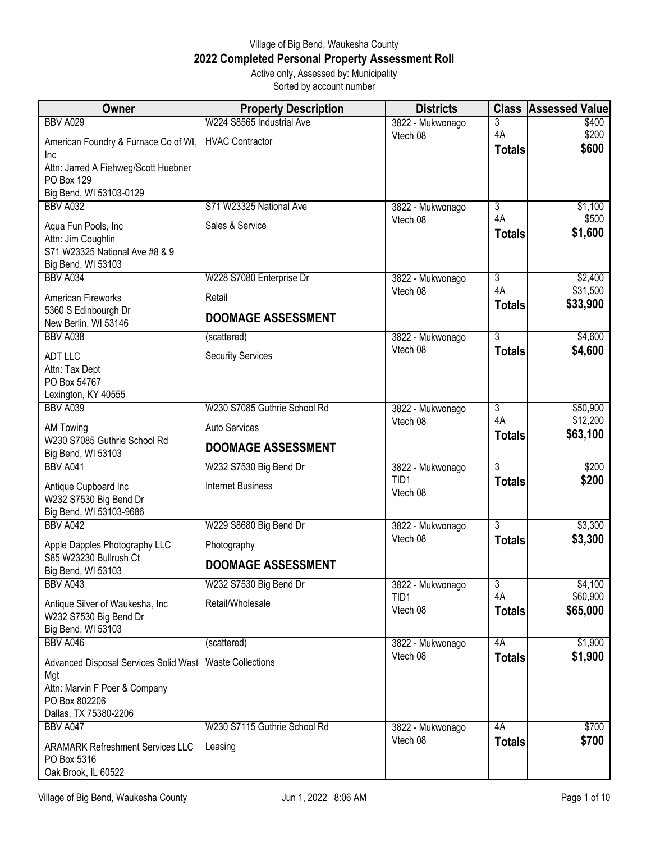## Village of Big Bend, Waukesha County **2022 Completed Personal Property Assessment Roll** Active only, Assessed by: Municipality

| . . |                          |  |
|-----|--------------------------|--|
|     | Sorted by account number |  |

| Owner                                                | <b>Property Description</b>  | <b>Districts</b>             | <b>Class</b>        | <b>Assessed Value</b> |
|------------------------------------------------------|------------------------------|------------------------------|---------------------|-----------------------|
| <b>BBV A029</b>                                      | W224 S8565 Industrial Ave    | 3822 - Mukwonago             | 3                   | \$400                 |
| American Foundry & Furnace Co of WI,<br>Inc          | <b>HVAC Contractor</b>       | Vtech 08                     | 4A<br><b>Totals</b> | \$200<br>\$600        |
| Attn: Jarred A Fiehweg/Scott Huebner                 |                              |                              |                     |                       |
| PO Box 129                                           |                              |                              |                     |                       |
| Big Bend, WI 53103-0129                              |                              |                              |                     |                       |
| <b>BBV A032</b>                                      | S71 W23325 National Ave      | 3822 - Mukwonago             | 3<br>4A             | \$1,100               |
| Aqua Fun Pools, Inc                                  | Sales & Service              | Vtech 08                     | <b>Totals</b>       | \$500<br>\$1,600      |
| Attn: Jim Coughlin                                   |                              |                              |                     |                       |
| S71 W23325 National Ave #8 & 9<br>Big Bend, WI 53103 |                              |                              |                     |                       |
| BBV A034                                             | W228 S7080 Enterprise Dr     | 3822 - Mukwonago             | 3                   | \$2,400               |
|                                                      |                              | Vtech 08                     | 4A                  | \$31,500              |
| American Fireworks                                   | Retail                       |                              | <b>Totals</b>       | \$33,900              |
| 5360 S Edinbourgh Dr<br>New Berlin, WI 53146         | <b>DOOMAGE ASSESSMENT</b>    |                              |                     |                       |
| <b>BBV A038</b>                                      | (scattered)                  | 3822 - Mukwonago             | $\overline{3}$      | \$4,600               |
| <b>ADT LLC</b>                                       |                              | Vtech 08                     | <b>Totals</b>       | \$4,600               |
| Attn: Tax Dept                                       | <b>Security Services</b>     |                              |                     |                       |
| PO Box 54767                                         |                              |                              |                     |                       |
| Lexington, KY 40555                                  |                              |                              |                     |                       |
| <b>BBV A039</b>                                      | W230 S7085 Guthrie School Rd | 3822 - Mukwonago             | 3                   | \$50,900              |
| AM Towing<br>W230 S7085 Guthrie School Rd            | <b>Auto Services</b>         | Vtech 08                     | 4A<br><b>Totals</b> | \$12,200<br>\$63,100  |
| Big Bend, WI 53103                                   | <b>DOOMAGE ASSESSMENT</b>    |                              |                     |                       |
| <b>BBV A041</b>                                      | W232 S7530 Big Bend Dr       | 3822 - Mukwonago             | 3                   | \$200                 |
| Antique Cupboard Inc                                 | <b>Internet Business</b>     | TID1                         | <b>Totals</b>       | \$200                 |
| W232 S7530 Big Bend Dr                               |                              | Vtech 08                     |                     |                       |
| Big Bend, WI 53103-9686                              |                              |                              |                     |                       |
| <b>BBV A042</b>                                      | W229 S8680 Big Bend Dr       | 3822 - Mukwonago             | $\overline{3}$      | \$3,300               |
| Apple Dapples Photography LLC                        | Photography                  | Vtech 08                     | <b>Totals</b>       | \$3,300               |
| S85 W23230 Bullrush Ct                               | <b>DOOMAGE ASSESSMENT</b>    |                              |                     |                       |
| Big Bend, WI 53103                                   |                              |                              |                     |                       |
| <b>BBV A043</b>                                      | W232 S7530 Big Bend Dr       | 3822 - Mukwonago<br>TID1     | 3<br>4A             | \$4,100<br>\$60,900   |
| Antique Silver of Waukesha, Inc                      | Retail/Wholesale             | Vtech 08                     | <b>Totals</b>       | \$65,000              |
| W232 S7530 Big Bend Dr<br>Big Bend, WI 53103         |                              |                              |                     |                       |
| <b>BBV A046</b>                                      | (scattered)                  | 3822 - Mukwonago             | 4A                  | \$1,900               |
| Advanced Disposal Services Solid Wast                | <b>Waste Collections</b>     | Vtech 08                     | <b>Totals</b>       | \$1,900               |
| Mgt                                                  |                              |                              |                     |                       |
| Attn: Marvin F Poer & Company                        |                              |                              |                     |                       |
| PO Box 802206                                        |                              |                              |                     |                       |
| Dallas, TX 75380-2206                                |                              |                              |                     |                       |
| <b>BBV A047</b>                                      | W230 S7115 Guthrie School Rd | 3822 - Mukwonago<br>Vtech 08 | 4A                  | \$700<br>\$700        |
| <b>ARAMARK Refreshment Services LLC</b>              | Leasing                      |                              | <b>Totals</b>       |                       |
| PO Box 5316                                          |                              |                              |                     |                       |
| Oak Brook, IL 60522                                  |                              |                              |                     |                       |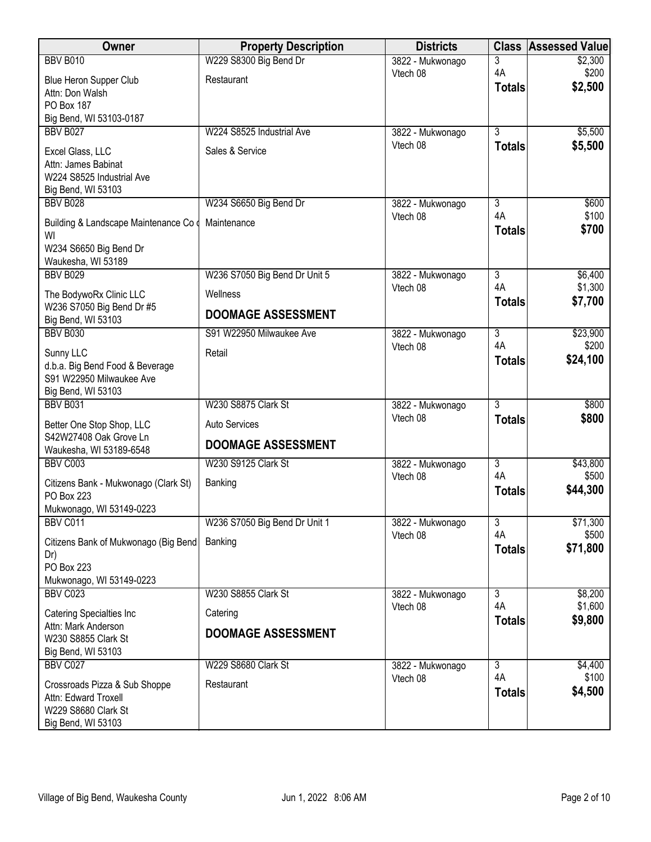| Owner                                                 | <b>Property Description</b>   | <b>Districts</b>             | <b>Class</b>        | <b>Assessed Value</b> |
|-------------------------------------------------------|-------------------------------|------------------------------|---------------------|-----------------------|
| <b>BBV B010</b>                                       | W229 S8300 Big Bend Dr        | 3822 - Mukwonago             | 3                   | \$2,300               |
| Blue Heron Supper Club                                | Restaurant                    | Vtech 08                     | 4A                  | \$200<br>\$2,500      |
| Attn: Don Walsh                                       |                               |                              | <b>Totals</b>       |                       |
| PO Box 187<br>Big Bend, WI 53103-0187                 |                               |                              |                     |                       |
| <b>BBV B027</b>                                       | W224 S8525 Industrial Ave     | 3822 - Mukwonago             | $\overline{3}$      | \$5,500               |
|                                                       |                               | Vtech 08                     | <b>Totals</b>       | \$5,500               |
| Excel Glass, LLC<br>Attn: James Babinat               | Sales & Service               |                              |                     |                       |
| W224 S8525 Industrial Ave                             |                               |                              |                     |                       |
| Big Bend, WI 53103                                    |                               |                              |                     |                       |
| <b>BBV B028</b>                                       | W234 S6650 Big Bend Dr        | 3822 - Mukwonago             | $\overline{3}$      | \$600                 |
| Building & Landscape Maintenance Co d                 | Maintenance                   | Vtech 08                     | 4A<br><b>Totals</b> | \$100<br>\$700        |
| WI                                                    |                               |                              |                     |                       |
| W234 S6650 Big Bend Dr<br>Waukesha, WI 53189          |                               |                              |                     |                       |
| <b>BBV B029</b>                                       | W236 S7050 Big Bend Dr Unit 5 | 3822 - Mukwonago             | $\overline{3}$      | \$6,400               |
|                                                       | Wellness                      | Vtech 08                     | 4A                  | \$1,300               |
| The BodywoRx Clinic LLC<br>W236 S7050 Big Bend Dr #5  |                               |                              | <b>Totals</b>       | \$7,700               |
| Big Bend, WI 53103                                    | <b>DOOMAGE ASSESSMENT</b>     |                              |                     |                       |
| <b>BBV B030</b>                                       | S91 W22950 Milwaukee Ave      | 3822 - Mukwonago             | $\overline{3}$      | \$23,900              |
| Sunny LLC                                             | Retail                        | Vtech 08                     | 4A                  | \$200                 |
| d.b.a. Big Bend Food & Beverage                       |                               |                              | <b>Totals</b>       | \$24,100              |
| S91 W22950 Milwaukee Ave                              |                               |                              |                     |                       |
| Big Bend, WI 53103<br><b>BBV B031</b>                 | W230 S8875 Clark St           | 3822 - Mukwonago             | $\overline{3}$      | \$800                 |
|                                                       |                               | Vtech 08                     | <b>Totals</b>       | \$800                 |
| Better One Stop Shop, LLC<br>S42W27408 Oak Grove Ln   | Auto Services                 |                              |                     |                       |
| Waukesha, WI 53189-6548                               | <b>DOOMAGE ASSESSMENT</b>     |                              |                     |                       |
| BBV C003                                              | W230 S9125 Clark St           | 3822 - Mukwonago             | $\overline{3}$      | \$43,800              |
| Citizens Bank - Mukwonago (Clark St)                  | Banking                       | Vtech 08                     | 4A                  | \$500                 |
| PO Box 223                                            |                               |                              | <b>Totals</b>       | \$44,300              |
| Mukwonago, WI 53149-0223                              |                               |                              |                     |                       |
| BBV C011                                              | W236 S7050 Big Bend Dr Unit 1 | 3822 - Mukwonago<br>Vtech 08 | 3<br>4A             | \$71,300<br>\$500     |
| Citizens Bank of Mukwonago (Big Bend                  | Banking                       |                              | <b>Totals</b>       | \$71,800              |
| Dr)<br>PO Box 223                                     |                               |                              |                     |                       |
| Mukwonago, WI 53149-0223                              |                               |                              |                     |                       |
| <b>BBV C023</b>                                       | W230 S8855 Clark St           | 3822 - Mukwonago             | $\overline{3}$      | \$8,200               |
| <b>Catering Specialties Inc</b>                       | Catering                      | Vtech 08                     | 4A                  | \$1,600               |
| Attn: Mark Anderson                                   | <b>DOOMAGE ASSESSMENT</b>     |                              | <b>Totals</b>       | \$9,800               |
| W230 S8855 Clark St                                   |                               |                              |                     |                       |
| Big Bend, WI 53103<br>BBV C027                        | W229 S8680 Clark St           |                              | $\overline{3}$      |                       |
|                                                       |                               | 3822 - Mukwonago<br>Vtech 08 | 4A                  | \$4,400<br>\$100      |
| Crossroads Pizza & Sub Shoppe<br>Attn: Edward Troxell | Restaurant                    |                              | <b>Totals</b>       | \$4,500               |
| W229 S8680 Clark St                                   |                               |                              |                     |                       |
| Big Bend, WI 53103                                    |                               |                              |                     |                       |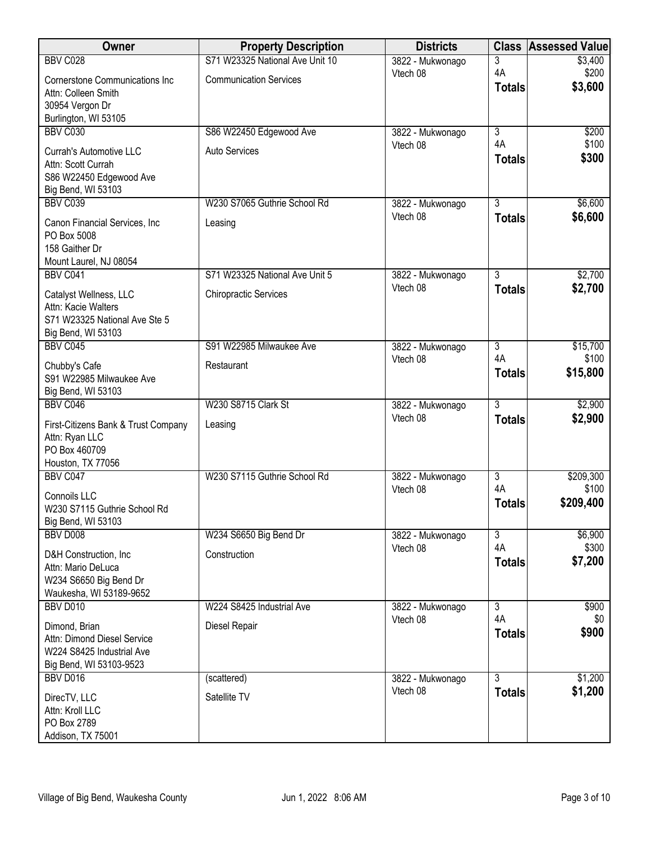| <b>Owner</b>                                         | <b>Property Description</b>     | <b>Districts</b>             | <b>Class</b>                    | <b>Assessed Value</b> |
|------------------------------------------------------|---------------------------------|------------------------------|---------------------------------|-----------------------|
| BBV C028                                             | S71 W23325 National Ave Unit 10 | 3822 - Mukwonago             | 3                               | \$3,400               |
| <b>Cornerstone Communications Inc</b>                | <b>Communication Services</b>   | Vtech 08                     | 4A                              | \$200<br>\$3,600      |
| Attn: Colleen Smith                                  |                                 |                              | <b>Totals</b>                   |                       |
| 30954 Vergon Dr                                      |                                 |                              |                                 |                       |
| Burlington, WI 53105<br>BBV C030                     | S86 W22450 Edgewood Ave         | 3822 - Mukwonago             | 3                               | \$200                 |
|                                                      |                                 | Vtech 08                     | 4A                              | \$100                 |
| <b>Currah's Automotive LLC</b>                       | <b>Auto Services</b>            |                              | <b>Totals</b>                   | \$300                 |
| Attn: Scott Currah<br>S86 W22450 Edgewood Ave        |                                 |                              |                                 |                       |
| Big Bend, WI 53103                                   |                                 |                              |                                 |                       |
| <b>BBV C039</b>                                      | W230 S7065 Guthrie School Rd    | 3822 - Mukwonago             | $\overline{3}$                  | \$6,600               |
| Canon Financial Services, Inc                        | Leasing                         | Vtech 08                     | <b>Totals</b>                   | \$6,600               |
| PO Box 5008                                          |                                 |                              |                                 |                       |
| 158 Gaither Dr                                       |                                 |                              |                                 |                       |
| Mount Laurel, NJ 08054                               |                                 |                              |                                 |                       |
| BBV C041                                             | S71 W23325 National Ave Unit 5  | 3822 - Mukwonago<br>Vtech 08 | $\overline{3}$<br><b>Totals</b> | \$2,700<br>\$2,700    |
| Catalyst Wellness, LLC                               | <b>Chiropractic Services</b>    |                              |                                 |                       |
| Attn: Kacie Walters<br>S71 W23325 National Ave Ste 5 |                                 |                              |                                 |                       |
| Big Bend, WI 53103                                   |                                 |                              |                                 |                       |
| BBV C045                                             | S91 W22985 Milwaukee Ave        | 3822 - Mukwonago             | 3                               | \$15,700              |
| Chubby's Cafe                                        | Restaurant                      | Vtech 08                     | 4A                              | \$100                 |
| S91 W22985 Milwaukee Ave                             |                                 |                              | <b>Totals</b>                   | \$15,800              |
| Big Bend, WI 53103                                   |                                 |                              |                                 |                       |
| BBV C046                                             | W230 S8715 Clark St             | 3822 - Mukwonago             | $\overline{3}$                  | \$2,900               |
| First-Citizens Bank & Trust Company                  | Leasing                         | Vtech 08                     | <b>Totals</b>                   | \$2,900               |
| Attn: Ryan LLC                                       |                                 |                              |                                 |                       |
| PO Box 460709                                        |                                 |                              |                                 |                       |
| Houston, TX 77056<br>BBV C047                        | W230 S7115 Guthrie School Rd    | 3822 - Mukwonago             | $\overline{3}$                  | \$209,300             |
|                                                      |                                 | Vtech 08                     | 4A                              | \$100                 |
| Connoils LLC<br>W230 S7115 Guthrie School Rd         |                                 |                              | <b>Totals</b>                   | \$209,400             |
| Big Bend, WI 53103                                   |                                 |                              |                                 |                       |
| <b>BBV D008</b>                                      | W234 S6650 Big Bend Dr          | 3822 - Mukwonago             | 3                               | \$6,900               |
| D&H Construction, Inc.                               | Construction                    | Vtech 08                     | 4A                              | \$300                 |
| Attn: Mario DeLuca                                   |                                 |                              | <b>Totals</b>                   | \$7,200               |
| W234 S6650 Big Bend Dr                               |                                 |                              |                                 |                       |
| Waukesha, WI 53189-9652                              |                                 |                              |                                 |                       |
| <b>BBV D010</b>                                      | W224 S8425 Industrial Ave       | 3822 - Mukwonago             | $\overline{3}$<br>4A            | \$900                 |
| Dimond, Brian                                        | Diesel Repair                   | Vtech 08                     | <b>Totals</b>                   | \$0<br>\$900          |
| Attn: Dimond Diesel Service                          |                                 |                              |                                 |                       |
| W224 S8425 Industrial Ave<br>Big Bend, WI 53103-9523 |                                 |                              |                                 |                       |
| <b>BBV D016</b>                                      | (scattered)                     | 3822 - Mukwonago             | $\overline{3}$                  | \$1,200               |
|                                                      | Satellite TV                    | Vtech 08                     | <b>Totals</b>                   | \$1,200               |
| DirecTV, LLC<br>Attn: Kroll LLC                      |                                 |                              |                                 |                       |
| PO Box 2789                                          |                                 |                              |                                 |                       |
| Addison, TX 75001                                    |                                 |                              |                                 |                       |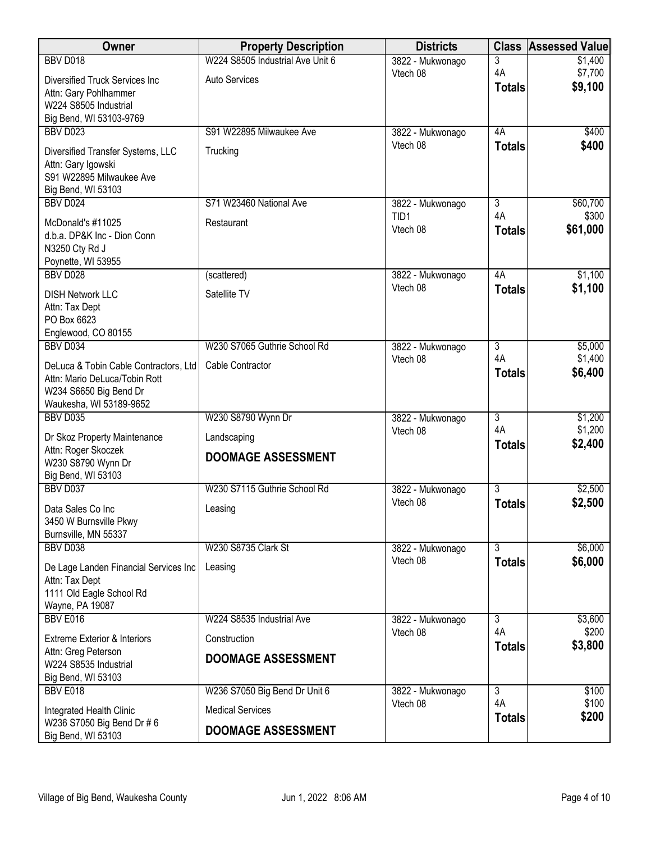| Owner                                               | <b>Property Description</b>      | <b>Districts</b>             | <b>Class</b>         | <b>Assessed Value</b> |
|-----------------------------------------------------|----------------------------------|------------------------------|----------------------|-----------------------|
| <b>BBV D018</b>                                     | W224 S8505 Industrial Ave Unit 6 | 3822 - Mukwonago             | 3                    | \$1,400               |
| <b>Diversified Truck Services Inc</b>               | <b>Auto Services</b>             | Vtech 08                     | 4A                   | \$7,700               |
| Attn: Gary Pohlhammer                               |                                  |                              | <b>Totals</b>        | \$9,100               |
| W224 S8505 Industrial                               |                                  |                              |                      |                       |
| Big Bend, WI 53103-9769<br><b>BBV D023</b>          | S91 W22895 Milwaukee Ave         |                              | 4A                   | \$400                 |
|                                                     |                                  | 3822 - Mukwonago<br>Vtech 08 | <b>Totals</b>        | \$400                 |
| Diversified Transfer Systems, LLC                   | Trucking                         |                              |                      |                       |
| Attn: Gary Igowski<br>S91 W22895 Milwaukee Ave      |                                  |                              |                      |                       |
| Big Bend, WI 53103                                  |                                  |                              |                      |                       |
| <b>BBV D024</b>                                     | S71 W23460 National Ave          | 3822 - Mukwonago             | 3                    | \$60,700              |
| McDonald's #11025                                   | Restaurant                       | TID1                         | 4A                   | \$300                 |
| d.b.a. DP&K Inc - Dion Conn                         |                                  | Vtech 08                     | <b>Totals</b>        | \$61,000              |
| N3250 Cty Rd J                                      |                                  |                              |                      |                       |
| Poynette, WI 53955<br>BBV D028                      |                                  |                              | 4A                   |                       |
|                                                     | (scattered)                      | 3822 - Mukwonago<br>Vtech 08 | <b>Totals</b>        | \$1,100<br>\$1,100    |
| <b>DISH Network LLC</b>                             | Satellite TV                     |                              |                      |                       |
| Attn: Tax Dept<br>PO Box 6623                       |                                  |                              |                      |                       |
| Englewood, CO 80155                                 |                                  |                              |                      |                       |
| BBV D034                                            | W230 S7065 Guthrie School Rd     | 3822 - Mukwonago             | 3                    | \$5,000               |
| DeLuca & Tobin Cable Contractors, Ltd               | Cable Contractor                 | Vtech 08                     | 4A                   | \$1,400               |
| Attn: Mario DeLuca/Tobin Rott                       |                                  |                              | <b>Totals</b>        | \$6,400               |
| W234 S6650 Big Bend Dr                              |                                  |                              |                      |                       |
| Waukesha, WI 53189-9652<br><b>BBV D035</b>          | W230 S8790 Wynn Dr               | 3822 - Mukwonago             | $\overline{3}$       | \$1,200               |
|                                                     |                                  | Vtech 08                     | 4A                   | \$1,200               |
| Dr Skoz Property Maintenance<br>Attn: Roger Skoczek | Landscaping                      |                              | <b>Totals</b>        | \$2,400               |
| W230 S8790 Wynn Dr                                  | <b>DOOMAGE ASSESSMENT</b>        |                              |                      |                       |
| Big Bend, WI 53103                                  |                                  |                              |                      |                       |
| BBV D037                                            | W230 S7115 Guthrie School Rd     | 3822 - Mukwonago             | $\overline{3}$       | \$2,500               |
| Data Sales Co Inc                                   | Leasing                          | Vtech 08                     | <b>Totals</b>        | \$2,500               |
| 3450 W Burnsville Pkwy                              |                                  |                              |                      |                       |
| Burnsville, MN 55337                                |                                  |                              |                      |                       |
| <b>BBV D038</b>                                     | W230 S8735 Clark St              | 3822 - Mukwonago<br>Vtech 08 | $\overline{3}$       | \$6,000<br>\$6,000    |
| De Lage Landen Financial Services Inc               | Leasing                          |                              | <b>Totals</b>        |                       |
| Attn: Tax Dept<br>1111 Old Eagle School Rd          |                                  |                              |                      |                       |
| Wayne, PA 19087                                     |                                  |                              |                      |                       |
| BBV E016                                            | W224 S8535 Industrial Ave        | 3822 - Mukwonago             | 3                    | \$3,600               |
| <b>Extreme Exterior &amp; Interiors</b>             | Construction                     | Vtech 08                     | 4A                   | \$200                 |
| Attn: Greg Peterson                                 |                                  |                              | <b>Totals</b>        | \$3,800               |
| W224 S8535 Industrial                               | <b>DOOMAGE ASSESSMENT</b>        |                              |                      |                       |
| Big Bend, WI 53103                                  |                                  |                              |                      |                       |
| BBV E018                                            | W236 S7050 Big Bend Dr Unit 6    | 3822 - Mukwonago<br>Vtech 08 | $\overline{3}$<br>4A | \$100<br>\$100        |
| Integrated Health Clinic                            | <b>Medical Services</b>          |                              | <b>Totals</b>        | \$200                 |
| W236 S7050 Big Bend Dr # 6<br>Big Bend, WI 53103    | <b>DOOMAGE ASSESSMENT</b>        |                              |                      |                       |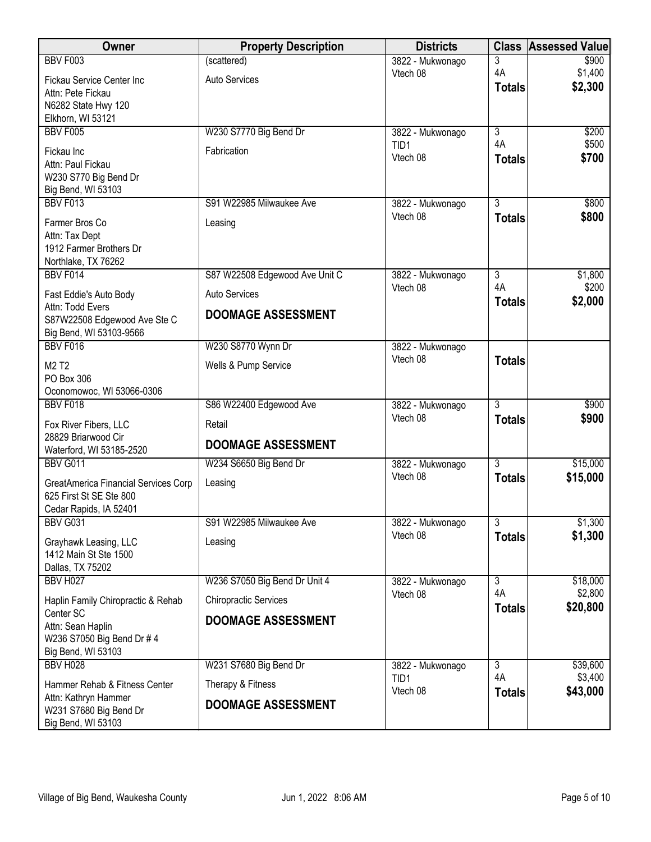|                                                                      |                                |                                      | <b>Class</b>         | <b>Assessed Value</b> |
|----------------------------------------------------------------------|--------------------------------|--------------------------------------|----------------------|-----------------------|
| <b>BBV F003</b>                                                      | (scattered)                    | 3822 - Mukwonago                     | 3                    | \$900                 |
| Fickau Service Center Inc                                            | <b>Auto Services</b>           | Vtech 08                             | 4A<br><b>Totals</b>  | \$1,400<br>\$2,300    |
| Attn: Pete Fickau                                                    |                                |                                      |                      |                       |
| N6282 State Hwy 120<br>Elkhorn, WI 53121                             |                                |                                      |                      |                       |
| <b>BBV F005</b>                                                      | W230 S7770 Big Bend Dr         | 3822 - Mukwonago                     | $\overline{3}$       | \$200                 |
| Fickau Inc                                                           | Fabrication                    | TID1                                 | 4A                   | \$500                 |
| Attn: Paul Fickau                                                    |                                | Vtech 08                             | <b>Totals</b>        | \$700                 |
| W230 S770 Big Bend Dr                                                |                                |                                      |                      |                       |
| Big Bend, WI 53103                                                   |                                |                                      |                      |                       |
| <b>BBV F013</b>                                                      | S91 W22985 Milwaukee Ave       | 3822 - Mukwonago<br>Vtech 08         | 3                    | \$800                 |
| Farmer Bros Co                                                       | Leasing                        |                                      | <b>Totals</b>        | \$800                 |
| Attn: Tax Dept<br>1912 Farmer Brothers Dr                            |                                |                                      |                      |                       |
| Northlake, TX 76262                                                  |                                |                                      |                      |                       |
| BBV F014                                                             | S87 W22508 Edgewood Ave Unit C | 3822 - Mukwonago                     | $\overline{3}$       | \$1,800               |
| Fast Eddie's Auto Body                                               | <b>Auto Services</b>           | Vtech 08                             | 4A<br><b>Totals</b>  | \$200<br>\$2,000      |
| Attn: Todd Evers                                                     | <b>DOOMAGE ASSESSMENT</b>      |                                      |                      |                       |
| S87W22508 Edgewood Ave Ste C<br>Big Bend, WI 53103-9566              |                                |                                      |                      |                       |
| BBV F016                                                             | W230 S8770 Wynn Dr             | 3822 - Mukwonago                     |                      |                       |
| M2 T2                                                                | Wells & Pump Service           | Vtech 08                             | <b>Totals</b>        |                       |
| PO Box 306                                                           |                                |                                      |                      |                       |
| Oconomowoc, WI 53066-0306<br>BBV F018                                | S86 W22400 Edgewood Ave        |                                      | $\overline{3}$       | \$900                 |
|                                                                      |                                | 3822 - Mukwonago<br>Vtech 08         | <b>Totals</b>        | \$900                 |
| Fox River Fibers, LLC<br>28829 Briarwood Cir                         | Retail                         |                                      |                      |                       |
| Waterford, WI 53185-2520                                             | <b>DOOMAGE ASSESSMENT</b>      |                                      |                      |                       |
| <b>BBV G011</b>                                                      | W234 S6650 Big Bend Dr         | 3822 - Mukwonago                     | $\overline{3}$       | \$15,000              |
| GreatAmerica Financial Services Corp                                 | Leasing                        | Vtech 08                             | <b>Totals</b>        | \$15,000              |
| 625 First St SE Ste 800                                              |                                |                                      |                      |                       |
| Cedar Rapids, IA 52401                                               |                                |                                      |                      |                       |
| <b>BBV G031</b>                                                      | S91 W22985 Milwaukee Ave       | 3822 - Mukwonago                     | $\overline{3}$       | \$1,300               |
| Grayhawk Leasing, LLC                                                | Leasing                        | Vtech 08                             | <b>Totals</b>        | \$1,300               |
| 1412 Main St Ste 1500                                                |                                |                                      |                      |                       |
| Dallas, TX 75202<br><b>BBV H027</b>                                  | W236 S7050 Big Bend Dr Unit 4  | 3822 - Mukwonago                     | $\overline{3}$       | \$18,000              |
|                                                                      |                                | Vtech 08                             | 4A                   | \$2,800               |
| Haplin Family Chiropractic & Rehab<br>Center SC                      | <b>Chiropractic Services</b>   |                                      | <b>Totals</b>        | \$20,800              |
| Attn: Sean Haplin                                                    | <b>DOOMAGE ASSESSMENT</b>      |                                      |                      |                       |
| W236 S7050 Big Bend Dr # 4                                           |                                |                                      |                      |                       |
| Big Bend, WI 53103                                                   |                                |                                      |                      |                       |
| <b>BBV H028</b>                                                      | W231 S7680 Big Bend Dr         | 3822 - Mukwonago<br>TID <sub>1</sub> | $\overline{3}$<br>4A | \$39,600<br>\$3,400   |
| Hammer Rehab & Fitness Center                                        | Therapy & Fitness              | Vtech 08                             | <b>Totals</b>        | \$43,000              |
| Attn: Kathryn Hammer<br>W231 S7680 Big Bend Dr<br>Big Bend, WI 53103 | <b>DOOMAGE ASSESSMENT</b>      |                                      |                      |                       |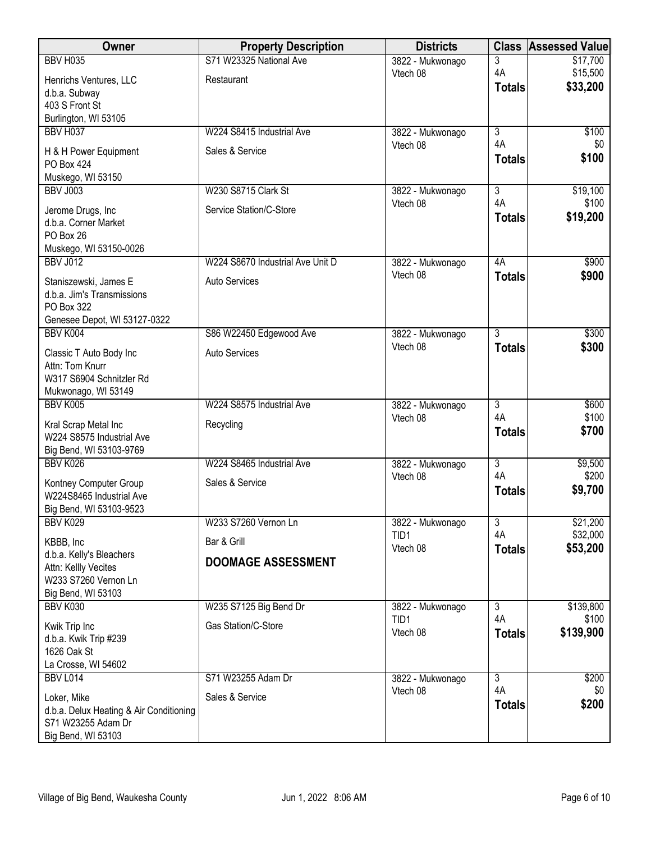| Owner                                   | <b>Property Description</b>      | <b>Districts</b>             | <b>Class</b>         | <b>Assessed Value</b> |
|-----------------------------------------|----------------------------------|------------------------------|----------------------|-----------------------|
| <b>BBV H035</b>                         | S71 W23325 National Ave          | 3822 - Mukwonago             | 3                    | \$17,700              |
| Henrichs Ventures, LLC                  | Restaurant                       | Vtech 08                     | 4A                   | \$15,500              |
| d.b.a. Subway                           |                                  |                              | <b>Totals</b>        | \$33,200              |
| 403 S Front St                          |                                  |                              |                      |                       |
| Burlington, WI 53105                    |                                  |                              |                      |                       |
| <b>BBV H037</b>                         | W224 S8415 Industrial Ave        | 3822 - Mukwonago             | $\overline{3}$       | \$100                 |
| H & H Power Equipment                   | Sales & Service                  | Vtech 08                     | 4A                   | \$0                   |
| PO Box 424                              |                                  |                              | <b>Totals</b>        | \$100                 |
| Muskego, WI 53150                       |                                  |                              |                      |                       |
| <b>BBV J003</b>                         | W230 S8715 Clark St              | 3822 - Mukwonago             | $\overline{3}$       | \$19,100              |
| Jerome Drugs, Inc                       | Service Station/C-Store          | Vtech 08                     | 4A                   | \$100                 |
| d.b.a. Corner Market                    |                                  |                              | <b>Totals</b>        | \$19,200              |
| PO Box 26                               |                                  |                              |                      |                       |
| Muskego, WI 53150-0026                  |                                  |                              |                      |                       |
| <b>BBV J012</b>                         | W224 S8670 Industrial Ave Unit D | 3822 - Mukwonago             | 4A                   | \$900                 |
| Staniszewski, James E                   | <b>Auto Services</b>             | Vtech 08                     | <b>Totals</b>        | \$900                 |
| d.b.a. Jim's Transmissions              |                                  |                              |                      |                       |
| PO Box 322                              |                                  |                              |                      |                       |
| Genesee Depot, WI 53127-0322            |                                  |                              |                      |                       |
| BBV K004                                | S86 W22450 Edgewood Ave          | 3822 - Mukwonago<br>Vtech 08 | $\overline{3}$       | \$300                 |
| Classic T Auto Body Inc                 | <b>Auto Services</b>             |                              | <b>Totals</b>        | \$300                 |
| Attn: Tom Knurr                         |                                  |                              |                      |                       |
| W317 S6904 Schnitzler Rd                |                                  |                              |                      |                       |
| Mukwonago, WI 53149                     |                                  |                              |                      |                       |
| BBV K005                                | W224 S8575 Industrial Ave        | 3822 - Mukwonago<br>Vtech 08 | 3<br>4A              | \$600<br>\$100        |
| Kral Scrap Metal Inc                    | Recycling                        |                              | <b>Totals</b>        | \$700                 |
| W224 S8575 Industrial Ave               |                                  |                              |                      |                       |
| Big Bend, WI 53103-9769                 |                                  |                              |                      |                       |
| BBV K026                                | W224 S8465 Industrial Ave        | 3822 - Mukwonago             | $\overline{3}$<br>4A | \$9,500               |
| Kontney Computer Group                  | Sales & Service                  | Vtech 08                     |                      | \$200                 |
| W224S8465 Industrial Ave                |                                  |                              | <b>Totals</b>        | \$9,700               |
| Big Bend, WI 53103-9523                 |                                  |                              |                      |                       |
| BBV K029                                | W233 S7260 Vernon Ln             | 3822 - Mukwonago             | 3                    | \$21,200              |
| KBBB, Inc                               | Bar & Grill                      | TID1<br>Vtech 08             | 4A                   | \$32,000              |
| d.b.a. Kelly's Bleachers                | <b>DOOMAGE ASSESSMENT</b>        |                              | <b>Totals</b>        | \$53,200              |
| Attn: Kellly Vecites                    |                                  |                              |                      |                       |
| W233 S7260 Vernon Ln                    |                                  |                              |                      |                       |
| Big Bend, WI 53103                      |                                  |                              |                      |                       |
| BBV K030                                | W235 S7125 Big Bend Dr           | 3822 - Mukwonago<br>TID1     | 3<br>4A              | \$139,800<br>\$100    |
| Kwik Trip Inc                           | Gas Station/C-Store              | Vtech 08                     | <b>Totals</b>        | \$139,900             |
| d.b.a. Kwik Trip #239                   |                                  |                              |                      |                       |
| 1626 Oak St                             |                                  |                              |                      |                       |
| La Crosse, WI 54602                     |                                  |                              |                      |                       |
| <b>BBV L014</b>                         | S71 W23255 Adam Dr               | 3822 - Mukwonago<br>Vtech 08 | $\overline{3}$<br>4A | \$200<br>\$0          |
| Loker, Mike                             | Sales & Service                  |                              | <b>Totals</b>        | \$200                 |
| d.b.a. Delux Heating & Air Conditioning |                                  |                              |                      |                       |
| S71 W23255 Adam Dr                      |                                  |                              |                      |                       |
| Big Bend, WI 53103                      |                                  |                              |                      |                       |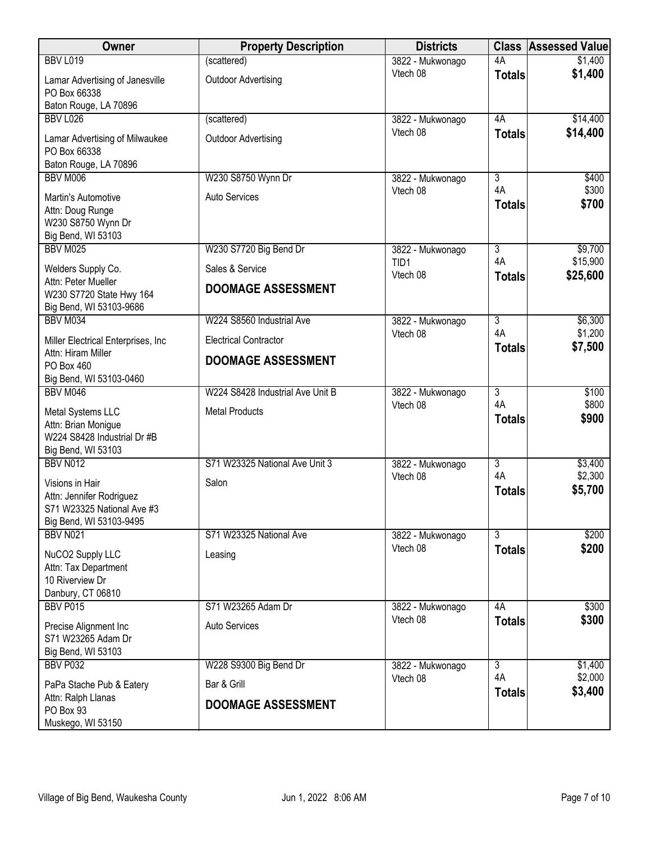| Owner                                                                                                | <b>Property Description</b>                | <b>Districts</b>             | <b>Class</b>             | <b>Assessed Value</b>   |
|------------------------------------------------------------------------------------------------------|--------------------------------------------|------------------------------|--------------------------|-------------------------|
| <b>BBV L019</b>                                                                                      | (scattered)                                | 3822 - Mukwonago             | 4A                       | \$1,400                 |
| Lamar Advertising of Janesville<br>PO Box 66338                                                      | <b>Outdoor Advertising</b>                 | Vtech 08                     | <b>Totals</b>            | \$1,400                 |
| Baton Rouge, LA 70896                                                                                |                                            |                              |                          |                         |
| <b>BBV L026</b>                                                                                      | (scattered)                                | 3822 - Mukwonago             | 4A                       | \$14,400                |
| Lamar Advertising of Milwaukee<br>PO Box 66338                                                       | <b>Outdoor Advertising</b>                 | Vtech 08                     | <b>Totals</b>            | \$14,400                |
| Baton Rouge, LA 70896                                                                                |                                            |                              |                          |                         |
| BBV M006<br>Martin's Automotive<br>Attn: Doug Runge<br>W230 S8750 Wynn Dr<br>Big Bend, WI 53103      | W230 S8750 Wynn Dr<br><b>Auto Services</b> | 3822 - Mukwonago<br>Vtech 08 | 3<br>4A<br><b>Totals</b> | \$400<br>\$300<br>\$700 |
| <b>BBV M025</b>                                                                                      | W230 S7720 Big Bend Dr                     | 3822 - Mukwonago             | $\overline{3}$           | \$9,700                 |
| Welders Supply Co.                                                                                   | Sales & Service                            | TID1<br>Vtech 08             | 4A<br><b>Totals</b>      | \$15,900<br>\$25,600    |
| Attn: Peter Mueller<br>W230 S7720 State Hwy 164<br>Big Bend, WI 53103-9686                           | <b>DOOMAGE ASSESSMENT</b>                  |                              |                          |                         |
| BBV M034                                                                                             | W224 S8560 Industrial Ave                  | 3822 - Mukwonago             | $\overline{3}$           | \$6,300                 |
| Miller Electrical Enterprises, Inc.                                                                  | <b>Electrical Contractor</b>               | Vtech 08                     | 4A<br><b>Totals</b>      | \$1,200<br>\$7,500      |
| Attn: Hiram Miller<br>PO Box 460<br>Big Bend, WI 53103-0460                                          | <b>DOOMAGE ASSESSMENT</b>                  |                              |                          |                         |
| BBV M046                                                                                             | W224 S8428 Industrial Ave Unit B           | 3822 - Mukwonago             | $\overline{3}$           | \$100                   |
| Metal Systems LLC<br>Attn: Brian Monigue<br>W224 S8428 Industrial Dr #B<br>Big Bend, WI 53103        | <b>Metal Products</b>                      | Vtech 08                     | 4A<br><b>Totals</b>      | \$800<br>\$900          |
| <b>BBV N012</b>                                                                                      | S71 W23325 National Ave Unit 3             | 3822 - Mukwonago             | $\overline{3}$           | \$3,400                 |
| Visions in Hair<br>Attn: Jennifer Rodriguez<br>S71 W23325 National Ave #3<br>Big Bend, WI 53103-9495 | Salon                                      | Vtech 08                     | 4A<br><b>Totals</b>      | \$2,300<br>\$5,700      |
| <b>BBV N021</b>                                                                                      | S71 W23325 National Ave                    | 3822 - Mukwonago             | 3                        | \$200                   |
| NuCO2 Supply LLC<br>Attn: Tax Department<br>10 Riverview Dr<br>Danbury, CT 06810                     | Leasing                                    | Vtech 08                     | <b>Totals</b>            | \$200                   |
| <b>BBV P015</b>                                                                                      | S71 W23265 Adam Dr                         | 3822 - Mukwonago             | 4A                       | \$300                   |
| Precise Alignment Inc<br>S71 W23265 Adam Dr<br>Big Bend, WI 53103                                    | Auto Services                              | Vtech 08                     | <b>Totals</b>            | \$300                   |
| <b>BBV P032</b>                                                                                      | W228 S9300 Big Bend Dr                     | 3822 - Mukwonago             | $\overline{3}$           | \$1,400                 |
| PaPa Stache Pub & Eatery                                                                             | Bar & Grill                                | Vtech 08                     | 4A<br><b>Totals</b>      | \$2,000<br>\$3,400      |
| Attn: Ralph Llanas<br>PO Box 93<br>Muskego, WI 53150                                                 | <b>DOOMAGE ASSESSMENT</b>                  |                              |                          |                         |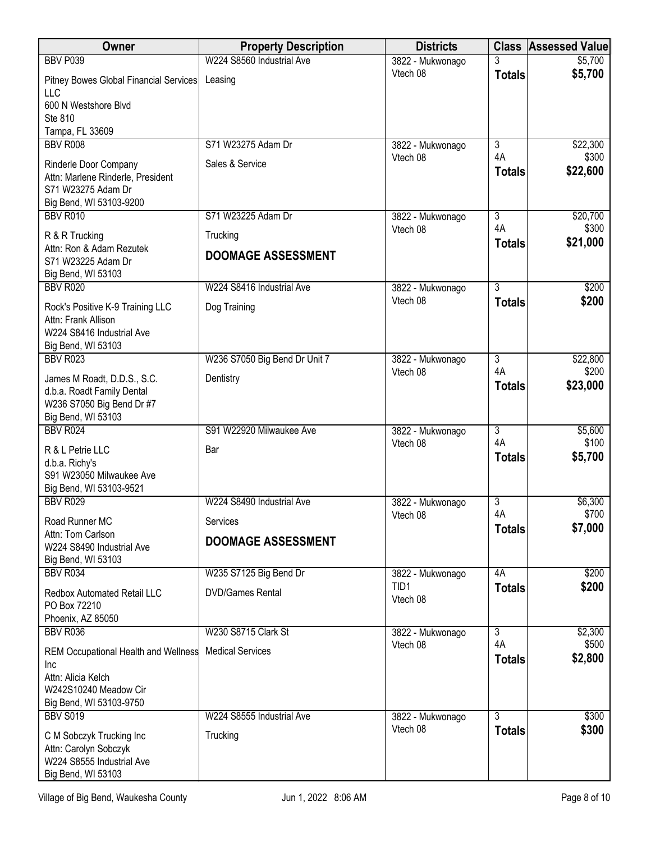| Owner                                                                | <b>Property Description</b>   | <b>Districts</b>             |                      | <b>Class Assessed Value</b> |
|----------------------------------------------------------------------|-------------------------------|------------------------------|----------------------|-----------------------------|
| <b>BBV P039</b>                                                      | W224 S8560 Industrial Ave     | 3822 - Mukwonago             |                      | \$5,700                     |
| Pitney Bowes Global Financial Services<br><b>LLC</b>                 | Leasing                       | Vtech 08                     | <b>Totals</b>        | \$5,700                     |
| 600 N Westshore Blvd                                                 |                               |                              |                      |                             |
| Ste 810                                                              |                               |                              |                      |                             |
| Tampa, FL 33609                                                      |                               |                              |                      |                             |
| <b>BBV R008</b>                                                      | S71 W23275 Adam Dr            | 3822 - Mukwonago<br>Vtech 08 | $\overline{3}$<br>4A | \$22,300<br>\$300           |
| Rinderle Door Company                                                | Sales & Service               |                              | <b>Totals</b>        | \$22,600                    |
| Attn: Marlene Rinderle, President<br>S71 W23275 Adam Dr              |                               |                              |                      |                             |
| Big Bend, WI 53103-9200                                              |                               |                              |                      |                             |
| <b>BBV R010</b>                                                      | S71 W23225 Adam Dr            | 3822 - Mukwonago             | $\overline{3}$       | \$20,700                    |
| R & R Trucking                                                       | Trucking                      | Vtech 08                     | 4A<br><b>Totals</b>  | \$300<br>\$21,000           |
| Attn: Ron & Adam Rezutek<br>S71 W23225 Adam Dr<br>Big Bend, WI 53103 | <b>DOOMAGE ASSESSMENT</b>     |                              |                      |                             |
| <b>BBV R020</b>                                                      | W224 S8416 Industrial Ave     | 3822 - Mukwonago             | $\overline{3}$       | \$200                       |
| Rock's Positive K-9 Training LLC                                     | Dog Training                  | Vtech 08                     | <b>Totals</b>        | \$200                       |
| Attn: Frank Allison                                                  |                               |                              |                      |                             |
| W224 S8416 Industrial Ave<br>Big Bend, WI 53103                      |                               |                              |                      |                             |
| <b>BBV R023</b>                                                      | W236 S7050 Big Bend Dr Unit 7 | 3822 - Mukwonago             | $\overline{3}$       | \$22,800                    |
| James M Roadt, D.D.S., S.C.                                          | Dentistry                     | Vtech 08                     | 4A                   | \$200                       |
| d.b.a. Roadt Family Dental                                           |                               |                              | <b>Totals</b>        | \$23,000                    |
| W236 S7050 Big Bend Dr #7                                            |                               |                              |                      |                             |
| Big Bend, WI 53103                                                   |                               |                              |                      |                             |
| <b>BBV R024</b>                                                      | S91 W22920 Milwaukee Ave      | 3822 - Mukwonago<br>Vtech 08 | $\overline{3}$<br>4A | \$5,600<br>\$100            |
| R & L Petrie LLC                                                     | Bar                           |                              | <b>Totals</b>        | \$5,700                     |
| d.b.a. Richy's<br>S91 W23050 Milwaukee Ave                           |                               |                              |                      |                             |
| Big Bend, WI 53103-9521                                              |                               |                              |                      |                             |
| <b>BBV R029</b>                                                      | W224 S8490 Industrial Ave     | 3822 - Mukwonago             | $\overline{3}$       | \$6,300                     |
| Road Runner MC                                                       | Services                      | Vtech 08                     | 4A<br><b>Totals</b>  | \$700<br>\$7,000            |
| Attn: Tom Carlson                                                    | <b>DOOMAGE ASSESSMENT</b>     |                              |                      |                             |
| W224 S8490 Industrial Ave<br>Big Bend, WI 53103                      |                               |                              |                      |                             |
| BBV R034                                                             | W235 S7125 Big Bend Dr        | 3822 - Mukwonago             | 4A                   | \$200                       |
| Redbox Automated Retail LLC                                          | <b>DVD/Games Rental</b>       | TID1                         | <b>Totals</b>        | \$200                       |
| PO Box 72210                                                         |                               | Vtech 08                     |                      |                             |
| Phoenix, AZ 85050                                                    |                               |                              |                      |                             |
| BBV R036                                                             | W230 S8715 Clark St           | 3822 - Mukwonago             | $\overline{3}$<br>4A | \$2,300                     |
| <b>REM Occupational Health and Wellness</b>                          | <b>Medical Services</b>       | Vtech 08                     | <b>Totals</b>        | \$500<br>\$2,800            |
| Inc<br>Attn: Alicia Kelch                                            |                               |                              |                      |                             |
| W242S10240 Meadow Cir                                                |                               |                              |                      |                             |
| Big Bend, WI 53103-9750                                              |                               |                              |                      |                             |
| <b>BBV S019</b>                                                      | W224 S8555 Industrial Ave     | 3822 - Mukwonago             | $\overline{3}$       | \$300                       |
| C M Sobczyk Trucking Inc                                             | Trucking                      | Vtech 08                     | <b>Totals</b>        | \$300                       |
| Attn: Carolyn Sobczyk                                                |                               |                              |                      |                             |
| W224 S8555 Industrial Ave<br>Big Bend, WI 53103                      |                               |                              |                      |                             |
|                                                                      |                               |                              |                      |                             |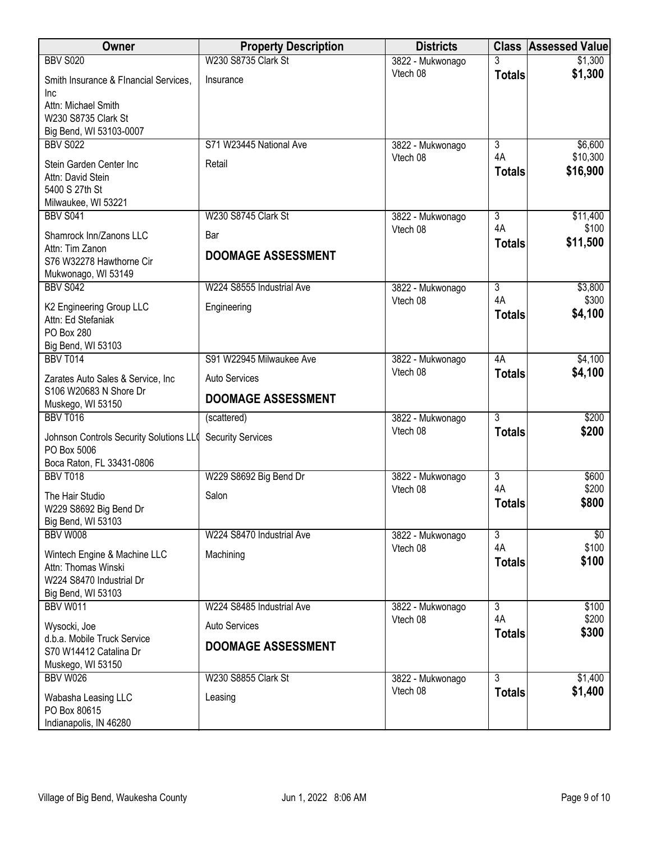| Owner                                                       | <b>Property Description</b> | <b>Districts</b>             | <b>Class</b>         | <b>Assessed Value</b> |
|-------------------------------------------------------------|-----------------------------|------------------------------|----------------------|-----------------------|
| <b>BBV S020</b>                                             | W230 S8735 Clark St         | 3822 - Mukwonago             |                      | \$1,300               |
| Smith Insurance & FInancial Services,<br>Inc                | Insurance                   | Vtech 08                     | <b>Totals</b>        | \$1,300               |
| Attn: Michael Smith                                         |                             |                              |                      |                       |
| W230 S8735 Clark St                                         |                             |                              |                      |                       |
| Big Bend, WI 53103-0007<br><b>BBV S022</b>                  | S71 W23445 National Ave     | 3822 - Mukwonago             | $\overline{3}$       | \$6,600               |
|                                                             |                             | Vtech 08                     | 4A                   | \$10,300              |
| Stein Garden Center Inc<br>Attn: David Stein                | Retail                      |                              | <b>Totals</b>        | \$16,900              |
| 5400 S 27th St                                              |                             |                              |                      |                       |
| Milwaukee, WI 53221                                         |                             |                              |                      |                       |
| <b>BBV S041</b>                                             | W230 S8745 Clark St         | 3822 - Mukwonago             | 3                    | \$11,400              |
| Shamrock Inn/Zanons LLC                                     | Bar                         | Vtech 08                     | 4A                   | \$100                 |
| Attn: Tim Zanon                                             | <b>DOOMAGE ASSESSMENT</b>   |                              | <b>Totals</b>        | \$11,500              |
| S76 W32278 Hawthorne Cir<br>Mukwonago, WI 53149             |                             |                              |                      |                       |
| <b>BBV S042</b>                                             | W224 S8555 Industrial Ave   | 3822 - Mukwonago             | $\overline{3}$       | \$3,800               |
| K2 Engineering Group LLC                                    | Engineering                 | Vtech 08                     | 4A                   | \$300                 |
| Attn: Ed Stefaniak                                          |                             |                              | <b>Totals</b>        | \$4,100               |
| PO Box 280                                                  |                             |                              |                      |                       |
| Big Bend, WI 53103<br><b>BBV T014</b>                       | S91 W22945 Milwaukee Ave    | 3822 - Mukwonago             | 4A                   | \$4,100               |
|                                                             |                             | Vtech 08                     | <b>Totals</b>        | \$4,100               |
| Zarates Auto Sales & Service, Inc<br>S106 W20683 N Shore Dr | Auto Services               |                              |                      |                       |
| Muskego, WI 53150                                           | <b>DOOMAGE ASSESSMENT</b>   |                              |                      |                       |
| <b>BBV T016</b>                                             | (scattered)                 | 3822 - Mukwonago             | $\overline{3}$       | \$200                 |
| Johnson Controls Security Solutions LLO                     | <b>Security Services</b>    | Vtech 08                     | <b>Totals</b>        | \$200                 |
| PO Box 5006                                                 |                             |                              |                      |                       |
| Boca Raton, FL 33431-0806                                   |                             |                              |                      |                       |
| <b>BBV T018</b>                                             | W229 S8692 Big Bend Dr      | 3822 - Mukwonago<br>Vtech 08 | $\overline{3}$<br>4A | \$600<br>\$200        |
| The Hair Studio                                             | Salon                       |                              | <b>Totals</b>        | \$800                 |
| W229 S8692 Big Bend Dr<br>Big Bend, WI 53103                |                             |                              |                      |                       |
| BBV W008                                                    | W224 S8470 Industrial Ave   | 3822 - Mukwonago             | $\overline{3}$       | \$0                   |
|                                                             |                             | Vtech 08                     | 4A                   | \$100                 |
| Wintech Engine & Machine LLC<br>Attn: Thomas Winski         | Machining                   |                              | <b>Totals</b>        | \$100                 |
| W224 S8470 Industrial Dr                                    |                             |                              |                      |                       |
| Big Bend, WI 53103                                          |                             |                              |                      |                       |
| <b>BBV W011</b>                                             | W224 S8485 Industrial Ave   | 3822 - Mukwonago             | $\overline{3}$<br>4A | \$100<br>\$200        |
| Wysocki, Joe                                                | <b>Auto Services</b>        | Vtech 08                     | <b>Totals</b>        | \$300                 |
| d.b.a. Mobile Truck Service<br>S70 W14412 Catalina Dr       | <b>DOOMAGE ASSESSMENT</b>   |                              |                      |                       |
| Muskego, WI 53150                                           |                             |                              |                      |                       |
| <b>BBV W026</b>                                             | W230 S8855 Clark St         | 3822 - Mukwonago             | $\overline{3}$       | \$1,400               |
| Wabasha Leasing LLC                                         | Leasing                     | Vtech 08                     | <b>Totals</b>        | \$1,400               |
| PO Box 80615                                                |                             |                              |                      |                       |
| Indianapolis, IN 46280                                      |                             |                              |                      |                       |